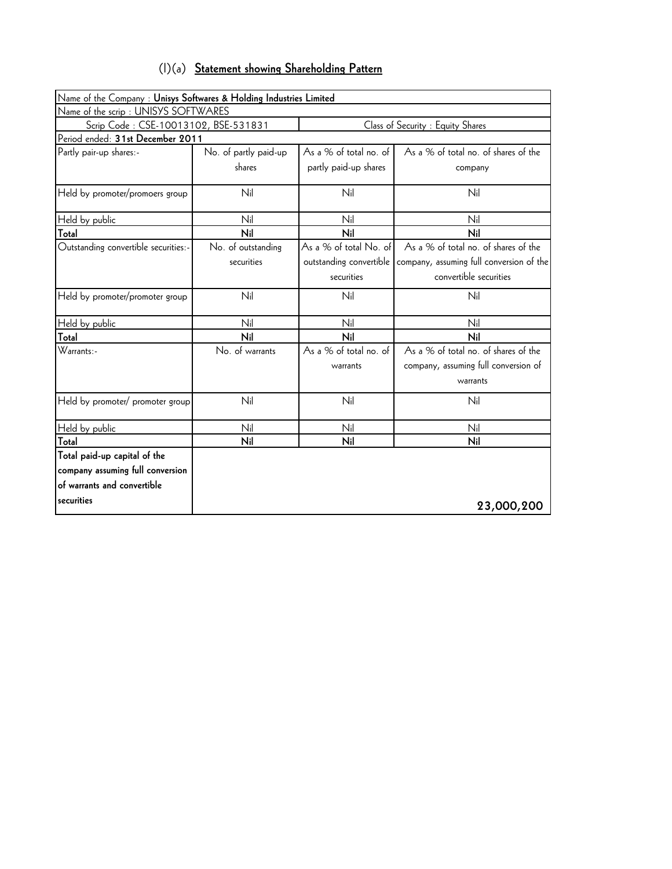| $(1)(a)$ Statement showing Shareholding Pattern |
|-------------------------------------------------|
|-------------------------------------------------|

| Name of the Company : Unisys Softwares & Holding Industries Limited |                       |                         |                                          |
|---------------------------------------------------------------------|-----------------------|-------------------------|------------------------------------------|
| Name of the scrip: UNISYS SOFTWARES                                 |                       |                         |                                          |
| Scrip Code: CSE-10013102, BSE-531831                                |                       |                         | Class of Security : Equity Shares        |
| Period ended: 31st December 2011                                    |                       |                         |                                          |
| Partly pair-up shares:-                                             | No. of partly paid-up | As a % of total no. of  | As a % of total no. of shares of the     |
|                                                                     | shares                | partly paid-up shares   | company                                  |
| Held by promoter/promoers group                                     | Nil                   | Nil                     | Nil                                      |
| Held by public                                                      | Nil                   | Nil                     | Nil                                      |
| Total                                                               | Nil                   | Nil                     | Nil                                      |
| Outstanding convertible securities:-                                | No. of outstanding    | As a % of total No. of  | As a % of total no. of shares of the     |
|                                                                     | securities            | outstanding convertible | company, assuming full conversion of the |
|                                                                     |                       | securities              | convertible securities                   |
| Held by promoter/promoter group                                     | Nil                   | Nil                     | Nil                                      |
| Held by public                                                      | Nil                   | Nil                     | Nil                                      |
| Total                                                               | Nil                   | Nil                     | Nil                                      |
| W <sub>arrants:</sub>                                               | No. of warrants       | As a % of total no. of  | As a % of total no. of shares of the     |
|                                                                     |                       | warrants                | company, assuming full conversion of     |
|                                                                     |                       |                         | warrants                                 |
| Held by promoter/ promoter group                                    | Nil                   | Nil                     | Nil                                      |
| Held by public                                                      | Nil                   | Nil                     | Nil                                      |
| Total                                                               | Nil                   | Nil                     | Nil                                      |
| Total paid-up capital of the                                        |                       |                         |                                          |
| company assuming full conversion                                    |                       |                         |                                          |
| of warrants and convertible                                         |                       |                         |                                          |
| securities                                                          |                       |                         | 23,000,200                               |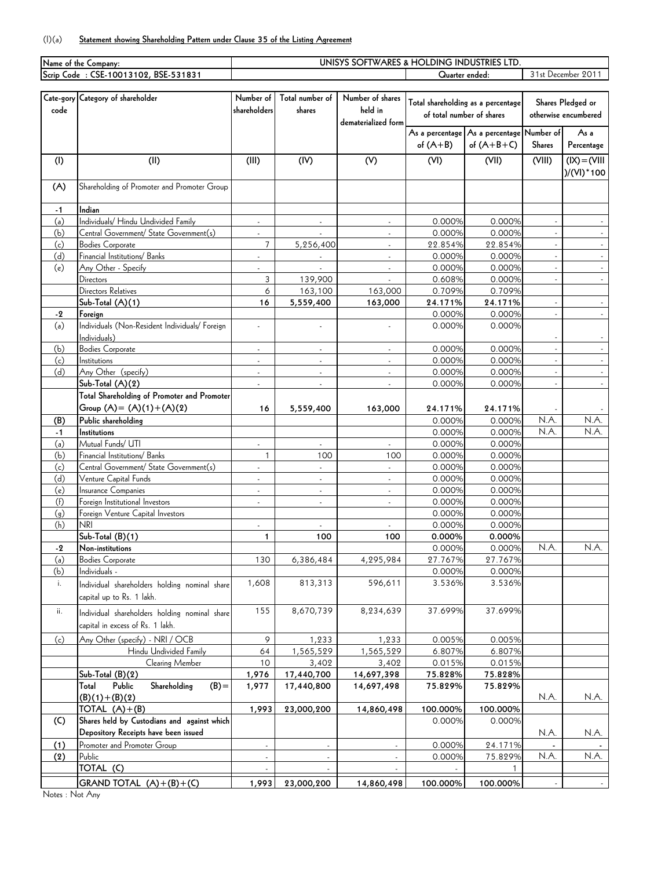## (I)(a) **Statement showing Shareholding Pattern under Clause 35 of the Listing Agreement**

|                | Name of the Company:                           | UNISYS SOFTWARES & HOLDING INDUSTRIES LTD |                             |                          |                           |                                    |                    |                      |  |  |
|----------------|------------------------------------------------|-------------------------------------------|-----------------------------|--------------------------|---------------------------|------------------------------------|--------------------|----------------------|--|--|
|                | Scrip Code: CSE-10013102, BSE-531831           |                                           |                             |                          | Quarter ended:            |                                    | 31st December 2011 |                      |  |  |
|                |                                                |                                           |                             |                          |                           |                                    |                    |                      |  |  |
|                | Cate-gory Category of shareholder              | Number of                                 | Total number of             | Number of shares         |                           | Total shareholding as a percentage |                    | Shares Pledged or    |  |  |
| code           |                                                | shareholders                              | shares                      | held in                  | of total number of shares |                                    |                    | otherwise encumbered |  |  |
|                |                                                |                                           |                             | dematerialized form      |                           |                                    |                    |                      |  |  |
|                |                                                |                                           |                             |                          |                           | As a percentage As a percentage    | Number of          | As a                 |  |  |
|                |                                                |                                           |                             |                          | of $(A+B)$                | of $(A+B+C)$                       | <b>Shares</b>      | Percentage           |  |  |
|                | (II)                                           |                                           | (IV)                        | (V)                      | (VI)                      | (VII)                              | (VIII)             | $(IX) = (VIII)$      |  |  |
| (1)            |                                                | (III)                                     |                             |                          |                           |                                    |                    |                      |  |  |
|                |                                                |                                           |                             |                          |                           |                                    |                    | $)/(V1)^*100$        |  |  |
| (A)            | Shareholding of Promoter and Promoter Group    |                                           |                             |                          |                           |                                    |                    |                      |  |  |
|                |                                                |                                           |                             |                          |                           |                                    |                    |                      |  |  |
| $-1$           | Indian                                         |                                           |                             |                          |                           |                                    |                    |                      |  |  |
| (a)            | Individuals/ Hindu Undivided Family            | $\blacksquare$                            | $\blacksquare$              | $\blacksquare$           | 0.000%                    | 0.000%                             |                    |                      |  |  |
| (b)            | Central Government/ State Government(s)        | ä,                                        |                             |                          | 0.000%                    | 0.000%                             |                    |                      |  |  |
| (c)            | <b>Bodies Corporate</b>                        | $\overline{7}$                            | 5,256,400                   | $\sim$                   | 22.854%                   | 22.854%                            |                    |                      |  |  |
| (d)            | Financial Institutions/ Banks                  | ä,                                        |                             | $\sim$                   | 0.000%                    | 0.000%                             |                    | $\blacksquare$       |  |  |
| (e)            | Any Other - Specify                            | ä,                                        |                             | $\sim$                   | 0.000%                    | 0.000%                             |                    |                      |  |  |
|                | Directors                                      | 3                                         | 139,900                     | $\mathbf{r}$             | 0.608%                    | 0.000%                             |                    | $\omega$             |  |  |
|                | Directors Relatives                            | 6                                         | 163,100                     | 163,000                  | 0.709%                    | 0.709%                             |                    |                      |  |  |
|                | Sub-Total (A)(1)                               | 16                                        | 5,559,400                   | 163,000                  | 24.171%                   | 24.171%                            |                    | $\omega$             |  |  |
| -2             | Foreign                                        |                                           |                             |                          | 0.000%                    | 0.000%                             |                    | $\omega_{\rm c}$     |  |  |
| (a)            | Individuals (Non-Resident Individuals/ Foreign |                                           |                             |                          | 0.000%                    | 0.000%                             |                    |                      |  |  |
|                | Individuals)                                   |                                           |                             |                          |                           |                                    |                    |                      |  |  |
| (b)            | <b>Bodies Corporate</b>                        | $\mathcal{L}$                             | ÷.                          | $\omega$                 | 0.000%                    | 0.000%                             |                    | $\sim$               |  |  |
| (c)            | Institutions                                   | ÷.                                        | $\blacksquare$              | $\overline{\phantom{a}}$ | 0.000%                    | 0.000%                             |                    |                      |  |  |
| (d)            | Any Other (specify)                            | ÷                                         | ÷,                          | $\overline{\phantom{a}}$ | 0.000%                    | 0.000%                             |                    |                      |  |  |
|                | $Sub-Total (A)(2)$                             | Ĭ.                                        |                             |                          | 0.000%                    | 0.000%                             |                    |                      |  |  |
|                | Total Shareholding of Promoter and Promoter    |                                           |                             |                          |                           |                                    |                    |                      |  |  |
|                | Group $(A) = (A)(1) + (A)(2)$                  | 16                                        | 5,559,400                   | 163,000                  | 24.171%                   | 24.171%                            |                    |                      |  |  |
| (B)            | Public shareholding                            |                                           |                             |                          | 0.000%                    | 0.000%                             | N.A.               | N.A.                 |  |  |
| -1             | Institutions                                   |                                           |                             |                          | 0.000%                    | 0.000%                             | N.A.               | N.A.                 |  |  |
| (a)            | Mutual Funds/ UTI                              |                                           |                             |                          | 0.000%                    | 0.000%                             |                    |                      |  |  |
| (b)            | Financial Institutions/ Banks                  | $\mathbf{1}$                              | 100                         | 100                      | 0.000%                    | 0.000%                             |                    |                      |  |  |
| (c)            | Central Government/ State Government(s)        |                                           | $\omega$                    | ÷.                       | 0.000%                    | 0.000%                             |                    |                      |  |  |
| (d)            | Venture Capital Funds                          | ÷.                                        | $\blacksquare$              | $\blacksquare$           | 0.000%                    | 0.000%                             |                    |                      |  |  |
| (e)            | Insurance Companies                            | $\overline{a}$                            | $\mathcal{L}_{\mathcal{A}}$ | $\blacksquare$           | 0.000%                    | 0.000%                             |                    |                      |  |  |
| (f)            | Foreign Institutional Investors                |                                           | ä,                          | $\blacksquare$           | 0.000%                    | 0.000%                             |                    |                      |  |  |
| (g)            | Foreign Venture Capital Investors              |                                           |                             |                          | 0.000%                    | 0.000%                             |                    |                      |  |  |
| (h)            | nri                                            | ä,                                        | ä,                          | ä,                       | 0.000%                    | 0.000%                             |                    |                      |  |  |
|                | Sub-Total (B)(1)                               | 1                                         | 100                         | 100                      | 0.000%                    | 0.000%                             |                    |                      |  |  |
| $-2$           | Non-institutions                               |                                           |                             |                          | 0.000%                    | 0.000%                             | N.A.               | N.A.                 |  |  |
| (a)            | <b>Bodies Corporate</b>                        | 130                                       | 6,386,484                   | 4,295,984                | 27.767%                   | 27.767%                            |                    |                      |  |  |
| (b)            | Individuals -                                  |                                           |                             |                          | 0.000%                    | 0.000%                             |                    |                      |  |  |
| i.             | Individual shareholders holding nominal share  | 1,608                                     | 813,313                     | 596,611                  | 3.536%                    | 3.536%                             |                    |                      |  |  |
|                | capital up to Rs. 1 lakh.                      |                                           |                             |                          |                           |                                    |                    |                      |  |  |
| ii.            | Individual shareholders holding nominal share  | 155                                       | 8,670,739                   | 8,234,639                | 37.699%                   | 37.699%                            |                    |                      |  |  |
|                | capital in excess of Rs. 1 lakh.               |                                           |                             |                          |                           |                                    |                    |                      |  |  |
|                |                                                |                                           |                             |                          |                           |                                    |                    |                      |  |  |
| (c)            | Any Other (specify) - NRI / OCB                | 9                                         | 1,233                       | 1,233                    | 0.005%                    | 0.005%                             |                    |                      |  |  |
|                | Hindu Undivided Family                         | 64                                        | 1,565,529                   | 1,565,529                | 6.807%                    | 6.807%                             |                    |                      |  |  |
|                | Clearing Member<br>Sub-Total (B)(2)            | 10                                        | 3,402                       | 3,402                    | 0.015%                    | 0.015%                             |                    |                      |  |  |
|                | Public<br>Shareholding<br>Total<br>$(B) =$     | 1,976<br>1,977                            | 17,440,700<br>17,440,800    | 14,697,398<br>14,697,498 | 75.828%<br>75.829%        | 75.828%<br>75.829%                 |                    |                      |  |  |
|                | $(B)(1)+(B)(2)$                                |                                           |                             |                          |                           |                                    | N.A.               | N.A.                 |  |  |
|                | TOTAL $(A)+(B)$                                | 1,993                                     | 23,000,200                  | 14,860,498               | 100.000%                  | 100.000%                           |                    |                      |  |  |
| (C)            | Shares held by Custodians and against which    |                                           |                             |                          | 0.000%                    | 0.000%                             |                    |                      |  |  |
|                | Depository Receipts have been issued           |                                           |                             |                          |                           |                                    | N.A.               | N.A.                 |  |  |
| (1)            | Promoter and Promoter Group                    |                                           |                             |                          | 0.000%                    | 24.171%                            |                    |                      |  |  |
| (2)            | Public                                         |                                           | $\bar{\mathbf{z}}$          |                          | 0.000%                    | 75.829%                            | N.A.               | N.A.                 |  |  |
|                | TOTAL (C)                                      |                                           |                             |                          |                           | $\mathbf{1}$                       |                    |                      |  |  |
|                |                                                |                                           |                             |                          |                           |                                    |                    |                      |  |  |
| Notes : Not An | GRAND TOTAL $(A)+(B)+(C)$                      | 1,993                                     | 23,000,200                  | 14,860,498               | 100.000%                  | 100.000%                           |                    |                      |  |  |

Notes : Not Any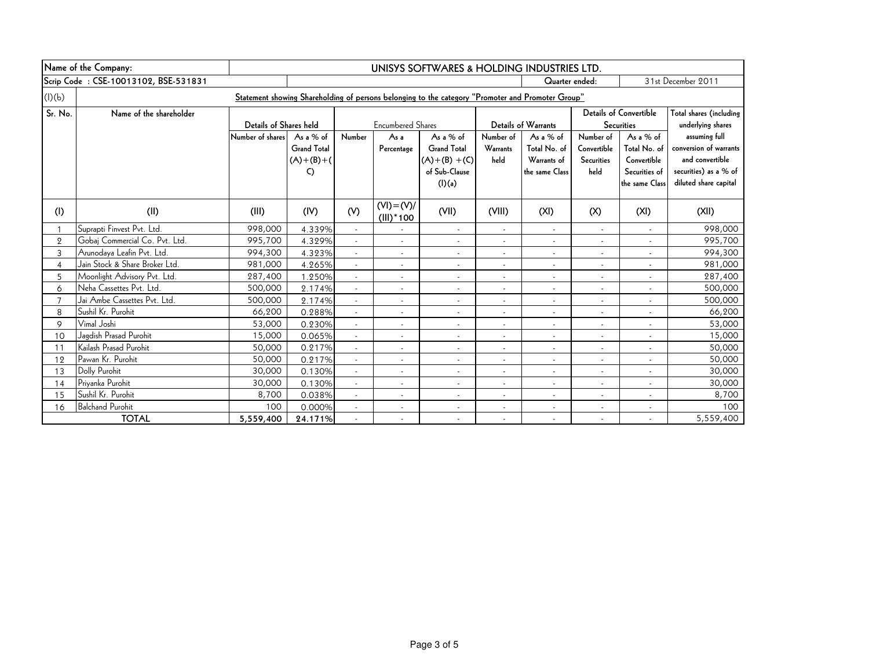|                | Name of the Company:                  | UNISYS SOFTWARES & HOLDING INDUSTRIES LTD. |                    |                          |                              |                                                                                                   |                          |                          |                           |                                 |                                                |
|----------------|---------------------------------------|--------------------------------------------|--------------------|--------------------------|------------------------------|---------------------------------------------------------------------------------------------------|--------------------------|--------------------------|---------------------------|---------------------------------|------------------------------------------------|
|                | Scrip Code : CSE-10013102, BSE-531831 |                                            |                    |                          |                              |                                                                                                   |                          | Quarter ended:           |                           |                                 | 31st December 2011                             |
| (l)(b)         |                                       |                                            |                    |                          |                              | Statement showing Shareholding of persons belonging to the category "Promoter and Promoter Group" |                          |                          |                           |                                 |                                                |
| Sr. No.        | Name of the shareholder               |                                            |                    |                          |                              |                                                                                                   |                          |                          |                           | <b>Details of Convertible</b>   | Total shares (including                        |
|                |                                       | Details of Shares held                     |                    |                          | <b>Encumbered Shares</b>     |                                                                                                   |                          | Details of Warrants      |                           | <b>Securities</b>               | underlying shares                              |
|                |                                       | Number of shares                           | As a % of          | Number                   | As a                         | As a % of                                                                                         | Number of                | As a % of                | Number of                 | As a % of                       | assuming full                                  |
|                |                                       |                                            | <b>Grand Total</b> |                          | Percentage                   | <b>Grand Total</b>                                                                                | <b>Warrants</b>          | Total No. of             | Convertible               | Total No. of                    | conversion of warrants                         |
|                |                                       |                                            | $(A)+(B)+(A)$      |                          |                              | $(A)+(B)+(C)$                                                                                     | held                     | Warrants of              | <b>Securities</b><br>held | Convertible                     | and convertible                                |
|                |                                       |                                            | C)                 |                          |                              | of Sub-Clause<br>(I)(a)                                                                           |                          | the same Class           |                           | Securities of<br>the same Class | securities) as a % of<br>diluted share capital |
|                |                                       |                                            |                    |                          |                              |                                                                                                   |                          |                          |                           |                                 |                                                |
| (1)            | (II)                                  | (III)                                      | (IV)               | (V)                      | $(VI) = (V)/$<br>$(III)*100$ | (VII)                                                                                             | (VIII)                   | (XI)                     | (X)                       | (XI)                            | (XII)                                          |
|                | Suprapti Finvest Pvt. Ltd.            | 998,000                                    | 4.339%             | $\sim$                   |                              | $\overline{\phantom{a}}$                                                                          | $\overline{\phantom{a}}$ | $\sim$                   | ÷,                        | $\blacksquare$                  | 998,000                                        |
| $\overline{2}$ | Gobaj Commercial Co. Pvt. Ltd.        | 995,700                                    | 4.329%             |                          | $\overline{\phantom{a}}$     | $\sim$                                                                                            | ÷                        | $\sim$                   | $\overline{a}$            |                                 | 995,700                                        |
| 3              | Arunodava Leafin Pvt. Ltd.            | 994,300                                    | 4.323%             |                          | $\overline{\phantom{a}}$     | $\sim$                                                                                            | $\overline{\phantom{a}}$ | $\overline{\phantom{a}}$ | $\overline{\phantom{a}}$  |                                 | 994,300                                        |
| $\overline{4}$ | Jain Stock & Share Broker Ltd.        | 981,000                                    | 4.265%             |                          | $\overline{\phantom{a}}$     | $\blacksquare$                                                                                    | $\blacksquare$           |                          |                           |                                 | 981,000                                        |
| 5              | Moonlight Advisory Pvt. Ltd.          | 287,400                                    | 1.250%             | $\sim$                   | $\sim$                       | $\sim$                                                                                            | $\overline{a}$           | $\sim$                   | ٠                         |                                 | 287,400                                        |
| 6              | Neha Cassettes Pvt. Ltd.              | 500,000                                    | 2.174%             |                          | $\overline{\phantom{a}}$     | $\overline{\phantom{a}}$                                                                          | $\blacksquare$           | $\sim$                   | ٠                         | $\overline{\phantom{a}}$        | 500,000                                        |
| $\overline{7}$ | Jai Ambe Cassettes Pvt. Ltd.          | 500,000                                    | 2.174%             | $\mathbf{r}$             | $\overline{\phantom{a}}$     | $\overline{\phantom{a}}$                                                                          | $\blacksquare$           | $\sim$                   | $\overline{\phantom{a}}$  | $\sim$                          | 500,000                                        |
| 8              | Sushil Kr. Purohit                    | 66,200                                     | 0.288%             |                          | $\overline{\phantom{a}}$     | $\overline{\phantom{a}}$                                                                          |                          | $\overline{\phantom{a}}$ |                           |                                 | 66,200                                         |
| 9              | Vimal Joshi                           | 53,000                                     | 0.230%             | $\sim$                   | $\overline{\phantom{a}}$     | $\overline{\phantom{a}}$                                                                          | $\blacksquare$           |                          | ÷,                        |                                 | 53,000                                         |
| 10             | Jagdish Prasad Purohit                | 15,000                                     | 0.065%             |                          | $\blacksquare$               | $\blacksquare$                                                                                    | $\blacksquare$           | $\overline{\phantom{a}}$ | ٠                         |                                 | 15,000                                         |
| 11             | Kailash Prasad Purohit                | 50,000                                     | 0.217%             | $\overline{\phantom{a}}$ | $\overline{\phantom{a}}$     | $\sim$                                                                                            | $\blacksquare$           | $\overline{\phantom{a}}$ | $\overline{\phantom{a}}$  | $\sim$                          | 50,000                                         |
| 12             | Pawan Kr. Purohit                     | 50,000                                     | 0.217%             |                          | $\blacksquare$               | $\sim$                                                                                            | $\blacksquare$           | $\overline{\phantom{a}}$ | $\overline{\phantom{a}}$  |                                 | 50,000                                         |
| 13             | Dolly Purohit                         | 30,000                                     | 0.130%             |                          | $\overline{\phantom{a}}$     | $\overline{\phantom{a}}$                                                                          |                          | $\overline{\phantom{a}}$ | ٠                         |                                 | 30,000                                         |
| 14             | Priyanka Purohit                      | 30,000                                     | 0.130%             | $\sim$                   | $\blacksquare$               | $\overline{\phantom{a}}$                                                                          | $\overline{\phantom{a}}$ | $\sim$                   | ٠                         | $\sim$                          | 30,000                                         |
| 15             | Sushil Kr. Purohit                    | 8,700                                      | 0.038%             |                          | $\blacksquare$               | $\sim$                                                                                            | $\overline{\phantom{a}}$ | $\sim$                   | $\blacksquare$            | $\blacksquare$                  | 8,700                                          |
| 16             | <b>Balchand Purohit</b>               | 100                                        | 0.000%             | $\overline{\phantom{a}}$ | $\overline{\phantom{a}}$     | $\sim$                                                                                            | $\sim$                   | $\overline{\phantom{a}}$ | $\overline{\phantom{a}}$  | $\sim$                          | 100                                            |
|                | <b>TOTAL</b>                          | 5,559,400                                  | 24.171%            |                          |                              | $\sim$                                                                                            |                          |                          |                           |                                 | 5,559,400                                      |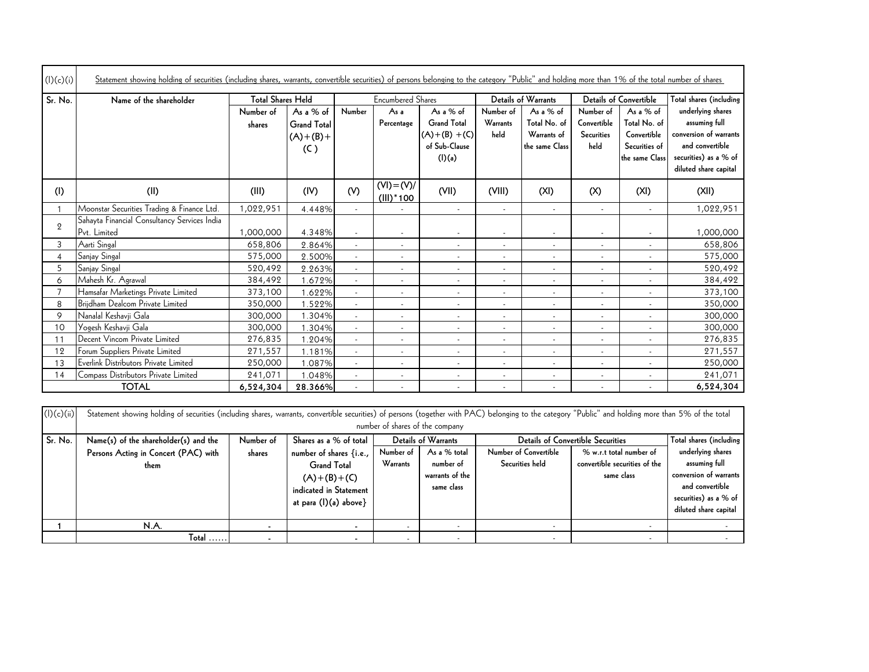| (I)(c)(i)      | Statement showing holding of securities (including shares, warrants, convertible securities) of persons belonging to the category "Public" and holding more than 1% of the total number of shares    |                     |                                                                                                                   |                |                              |                                                                             |                               |                                                              |                                                       |                                                                               |                                                                                                                                   |
|----------------|------------------------------------------------------------------------------------------------------------------------------------------------------------------------------------------------------|---------------------|-------------------------------------------------------------------------------------------------------------------|----------------|------------------------------|-----------------------------------------------------------------------------|-------------------------------|--------------------------------------------------------------|-------------------------------------------------------|-------------------------------------------------------------------------------|-----------------------------------------------------------------------------------------------------------------------------------|
| Sr. No.        | Name of the shareholder                                                                                                                                                                              |                     | <b>Total Shares Held</b>                                                                                          |                | <b>Encumbered Shares</b>     |                                                                             |                               | Details of Warrants                                          |                                                       | <b>Details of Convertible</b>                                                 | Total shares (including                                                                                                           |
|                |                                                                                                                                                                                                      | Number of<br>shares | As a % of<br><b>Grand Total</b><br>$(A)+(B) +$<br>(C)                                                             | Number         | As a<br>Percentage           | As a % of<br><b>Grand Total</b><br>$(A)+(B)+(C)$<br>of Sub-Clause<br>(l)(a) | Number of<br>Warrants<br>held | As a $%$ of<br>Total No. of<br>Warrants of<br>the same Class | Number of<br>Convertible<br><b>Securities</b><br>held | As a $%$ of<br>Total No. of<br>Convertible<br>Securities of<br>the same Class | underlying shares<br>assuming full<br>conversion of warrants<br>and convertible<br>securities) as a % of<br>diluted share capital |
| (1)            | (II)                                                                                                                                                                                                 | (III)               | (IV)                                                                                                              | (V)            | $(VI) = (V)/$<br>$(III)*100$ | (VII)                                                                       | (VIII)                        | (XI)                                                         | (X)                                                   | (XI)                                                                          | (X  )                                                                                                                             |
|                | Moonstar Securities Trading & Finance Ltd.                                                                                                                                                           | 1,022,951           | 4.448%                                                                                                            | $\sim$         | $\sim$                       | $\sim$                                                                      | $\sim$                        | $\mathbf{r}$                                                 | $\sim$                                                | $\sim$                                                                        | 1,022,951                                                                                                                         |
| $\overline{2}$ | Sahayta Financial Consultancy Services India<br>Pvt. Limited                                                                                                                                         | 1,000,000           | 4.348%                                                                                                            | $\blacksquare$ | $\overline{\phantom{a}}$     |                                                                             |                               | $\overline{\phantom{a}}$                                     | $\overline{\phantom{a}}$                              |                                                                               | 1,000,000                                                                                                                         |
| 3              | Aarti Singal                                                                                                                                                                                         | 658,806             | 2.864%                                                                                                            | $\blacksquare$ | $\sim$                       | $\sim$                                                                      | $\blacksquare$                | $\blacksquare$                                               | $\overline{\phantom{a}}$                              | $\sim$                                                                        | 658,806                                                                                                                           |
| $\overline{4}$ | Sanjay Singal                                                                                                                                                                                        | 575,000             | 2.500%                                                                                                            |                | $\sim$                       | $\sim$                                                                      | $\sim$                        | $\blacksquare$                                               |                                                       | $\overline{\phantom{a}}$                                                      | 575,000                                                                                                                           |
| 5              | Sanjay Singal                                                                                                                                                                                        | 520,492             | 2.263%                                                                                                            | $\blacksquare$ | $\sim$                       | $\blacksquare$                                                              |                               | $\blacksquare$                                               | $\blacksquare$                                        | $\blacksquare$                                                                | 520,492                                                                                                                           |
| 6              | Mahesh Kr. Agrawal                                                                                                                                                                                   | 384,492             | 1.672%                                                                                                            | $\blacksquare$ | $\sim$                       | $\sim$                                                                      |                               | $\sim$                                                       | $\sim$                                                | $\overline{\phantom{a}}$                                                      | 384,492                                                                                                                           |
| $\overline{7}$ | Hamsafar Marketings Private Limited                                                                                                                                                                  | 373,100             | 1.622%                                                                                                            | $\sim$         | $\sim$                       | $\overline{\phantom{a}}$                                                    | $\sim$                        | $\sim$                                                       | $\sim$                                                | $\overline{\phantom{a}}$                                                      | 373,100                                                                                                                           |
| 8              | Brijdham Dealcom Private Limited                                                                                                                                                                     | 350,000             | 1.522%                                                                                                            | $\omega$       |                              | ÷,                                                                          |                               | $\blacksquare$                                               |                                                       | $\overline{\phantom{a}}$                                                      | 350,000                                                                                                                           |
| $\circ$        | Nanalal Keshavji Gala                                                                                                                                                                                | 300,000             | 1.304%                                                                                                            | $\blacksquare$ | $\sim$                       | $\mathbf{r}$                                                                | $\sim$                        | $\sim$                                                       | $\sim$                                                | $\sim$                                                                        | 300,000                                                                                                                           |
| 10             | Yogesh Keshavji Gala                                                                                                                                                                                 | 300,000             | 1.304%                                                                                                            | $\sim$         | $\sim$                       | $\overline{\phantom{a}}$                                                    | $\overline{\phantom{a}}$      | $\mathbf{r}$                                                 | $\sim$                                                | $\overline{\phantom{a}}$                                                      | 300,000                                                                                                                           |
| 11             | Decent Vincom Private Limited                                                                                                                                                                        | 276,835             | 1.204%                                                                                                            | $\blacksquare$ | $\blacksquare$               | $\blacksquare$                                                              | $\blacksquare$                | $\blacksquare$                                               | $\overline{\phantom{a}}$                              | $\blacksquare$                                                                | 276,835                                                                                                                           |
| 12             | Forum Suppliers Private Limited                                                                                                                                                                      | 271,557             | 1.181%                                                                                                            | $\sim$         | $\sim$                       | ÷.                                                                          |                               | $\sim$                                                       | $\sim$                                                | ÷.                                                                            | 271,557                                                                                                                           |
| 13             | Everlink Distributors Private Limited                                                                                                                                                                | 250,000             | 1.087%                                                                                                            | $\sim$         | $\sim$                       | $\sim$                                                                      | $\sim$                        | $\mathbf{r}$                                                 | $\sim$                                                | $\overline{\phantom{a}}$                                                      | 250,000                                                                                                                           |
| 14             | Compass Distributors Private Limited                                                                                                                                                                 | 241,071             | 1.048%                                                                                                            | $\omega$       | $\mathcal{L}_{\mathcal{A}}$  | $\mathbf{r}$                                                                | $\blacksquare$                | $\blacksquare$                                               | $\overline{\phantom{a}}$                              | $\omega$                                                                      | 241,071                                                                                                                           |
|                | <b>TOTAL</b>                                                                                                                                                                                         | 6,524,304           | 28.366%                                                                                                           | $\blacksquare$ | $\mathcal{L}$                | ÷,                                                                          | $\sim$                        | $\sim$                                                       | $\sim$                                                | $\sim$                                                                        | 6,524,304                                                                                                                         |
| (I)(c)(ii)     | Statement showing holding of securities (including shares, warrants, convertible securities) of persons (together with PAC) belonging to the category "Public" and holding more than 5% of the total |                     |                                                                                                                   |                |                              | number of shares of the company<br><b>Details of Warrants</b>               |                               | <b>Details of Convertible Securities</b>                     |                                                       |                                                                               | Total shares (including                                                                                                           |
| Sr. No.        | Name(s) of the shareholder(s) and the                                                                                                                                                                | Number of           | Shares as a % of total                                                                                            |                | Number of                    | As a % total                                                                |                               | Number of Convertible                                        |                                                       | % w.r.t total number of                                                       | underlying shares                                                                                                                 |
|                | Persons Acting in Concert (PAC) with<br>them                                                                                                                                                         | shares              | number of shares {i.e.,<br><b>Grand Total</b><br>$(A)+(B)+(C)$<br>indicated in Statement<br>at para (1)(a) above} |                | Warrants                     | number of<br>warrants of the<br>same class                                  |                               | Securities held                                              |                                                       | convertible securities of the<br>same class                                   | assuming full<br>conversion of warrants<br>and convertible<br>securities) as a % of<br>diluted share capital                      |
| 1              | N.A.                                                                                                                                                                                                 |                     |                                                                                                                   | $\blacksquare$ |                              | $\overline{\phantom{a}}$                                                    |                               | $\sim$                                                       |                                                       |                                                                               |                                                                                                                                   |
|                | Total                                                                                                                                                                                                |                     |                                                                                                                   |                |                              |                                                                             |                               |                                                              |                                                       |                                                                               |                                                                                                                                   |

| (l)(c)(ii) | Statement showing holding of securities (including shares, warrants, convertible securities) of persons (together with PAC) belonging to the category "Public" and holding more than 5% of the total |                |                         |                            |                 |                                          |                               |                         |  |  |
|------------|------------------------------------------------------------------------------------------------------------------------------------------------------------------------------------------------------|----------------|-------------------------|----------------------------|-----------------|------------------------------------------|-------------------------------|-------------------------|--|--|
|            | number of shares of the company                                                                                                                                                                      |                |                         |                            |                 |                                          |                               |                         |  |  |
| Sr. No.    | Name(s) of the shareholder(s) and the                                                                                                                                                                | Number of      | Shares as a % of total  | <b>Details of Warrants</b> |                 | <b>Details of Convertible Securities</b> |                               | Total shares (including |  |  |
|            | Persons Acting in Concert (PAC) with                                                                                                                                                                 | shares         | number of shares {i.e., | Number of                  | As a % total    | Number of Convertible                    | % w.r.t total number of       | underlying shares       |  |  |
|            | them                                                                                                                                                                                                 |                | <b>Grand Total</b>      | Warrants                   | number of       | Securities held                          | convertible securities of the | assuming full           |  |  |
|            |                                                                                                                                                                                                      |                | $(A)+(B)+(C)$           |                            | warrants of the |                                          | same class                    | conversion of warrants  |  |  |
|            |                                                                                                                                                                                                      |                | indicated in Statement  |                            | same class      |                                          |                               | and convertible         |  |  |
|            |                                                                                                                                                                                                      |                | at para $(I)(a)$ above} |                            |                 |                                          |                               | securities) as a % of   |  |  |
|            |                                                                                                                                                                                                      |                |                         |                            |                 |                                          |                               | diluted share capital   |  |  |
|            | N.A.                                                                                                                                                                                                 | $\blacksquare$ |                         |                            |                 |                                          |                               |                         |  |  |
|            | $Total$                                                                                                                                                                                              |                |                         |                            |                 | $\overline{\phantom{a}}$                 |                               |                         |  |  |